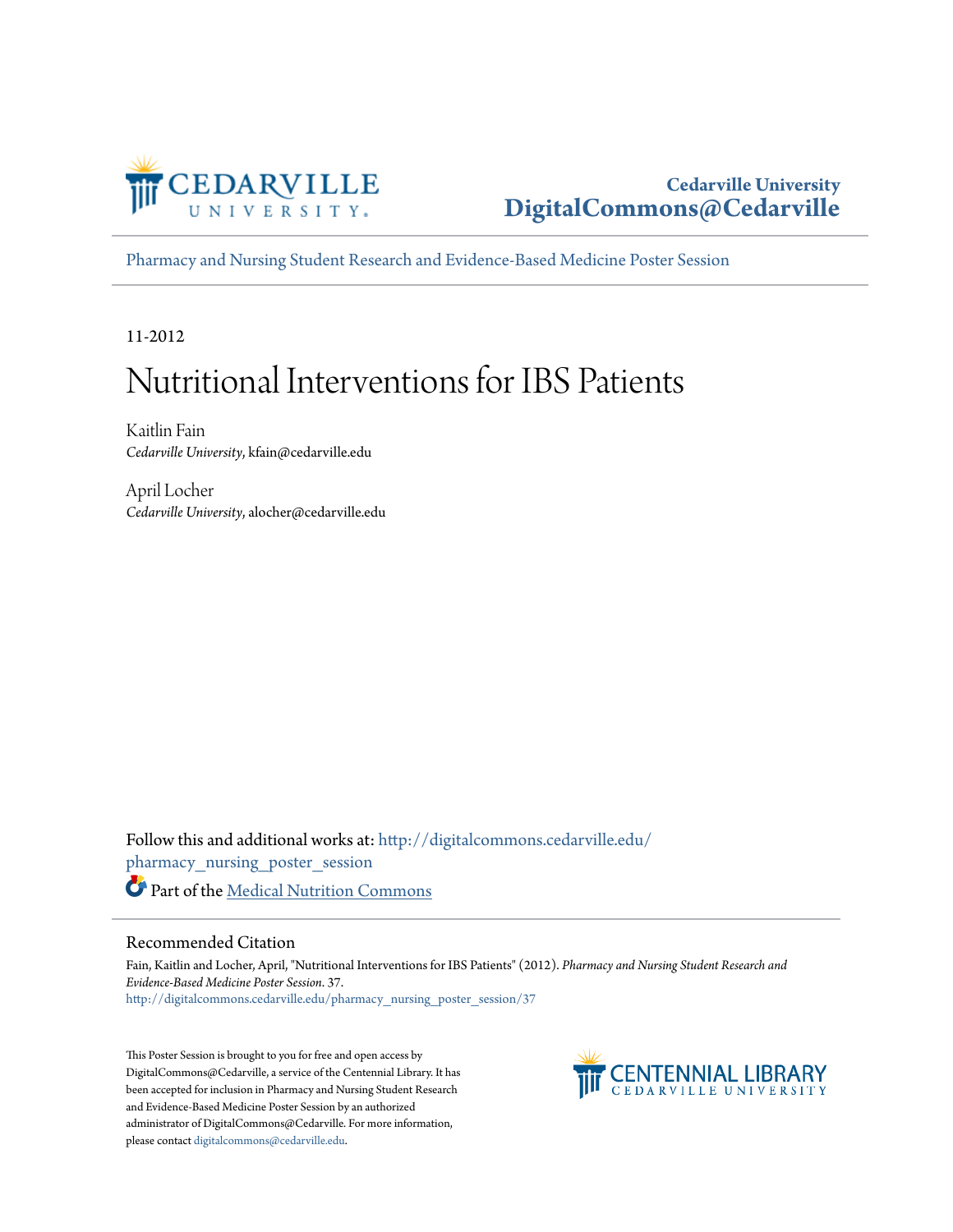

#### **Cedarville University [DigitalCommons@Cedarville](http://digitalcommons.cedarville.edu?utm_source=digitalcommons.cedarville.edu%2Fpharmacy_nursing_poster_session%2F37&utm_medium=PDF&utm_campaign=PDFCoverPages)**

[Pharmacy and Nursing Student Research and Evidence-Based Medicine Poster Session](http://digitalcommons.cedarville.edu/pharmacy_nursing_poster_session?utm_source=digitalcommons.cedarville.edu%2Fpharmacy_nursing_poster_session%2F37&utm_medium=PDF&utm_campaign=PDFCoverPages)

11-2012

#### Nutritional Interventions for IBS Patients

Kaitlin Fain *Cedarville University*, kfain@cedarville.edu

April Locher *Cedarville University*, alocher@cedarville.edu

Follow this and additional works at: [http://digitalcommons.cedarville.edu/](http://digitalcommons.cedarville.edu/pharmacy_nursing_poster_session?utm_source=digitalcommons.cedarville.edu%2Fpharmacy_nursing_poster_session%2F37&utm_medium=PDF&utm_campaign=PDFCoverPages) [pharmacy\\_nursing\\_poster\\_session](http://digitalcommons.cedarville.edu/pharmacy_nursing_poster_session?utm_source=digitalcommons.cedarville.edu%2Fpharmacy_nursing_poster_session%2F37&utm_medium=PDF&utm_campaign=PDFCoverPages) Part of the [Medical Nutrition Commons](http://network.bepress.com/hgg/discipline/675?utm_source=digitalcommons.cedarville.edu%2Fpharmacy_nursing_poster_session%2F37&utm_medium=PDF&utm_campaign=PDFCoverPages)

#### Recommended Citation

Fain, Kaitlin and Locher, April, "Nutritional Interventions for IBS Patients" (2012). *Pharmacy and Nursing Student Research and Evidence-Based Medicine Poster Session*. 37. [http://digitalcommons.cedarville.edu/pharmacy\\_nursing\\_poster\\_session/37](http://digitalcommons.cedarville.edu/pharmacy_nursing_poster_session/37?utm_source=digitalcommons.cedarville.edu%2Fpharmacy_nursing_poster_session%2F37&utm_medium=PDF&utm_campaign=PDFCoverPages)

This Poster Session is brought to you for free and open access by DigitalCommons@Cedarville, a service of the Centennial Library. It has been accepted for inclusion in Pharmacy and Nursing Student Research and Evidence-Based Medicine Poster Session by an authorized administrator of DigitalCommons@Cedarville. For more information, please contact [digitalcommons@cedarville.edu.](mailto:digitalcommons@cedarville.edu)